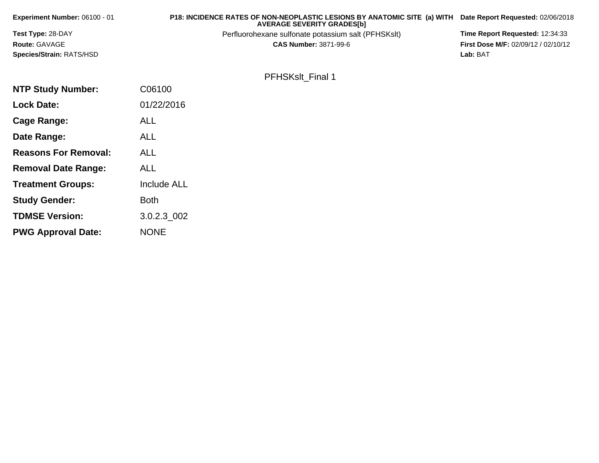| Experiment Number: 06100 - 01 | P18: INCIDENCE RATES OF NON-NEOPLASTIC LESIONS BY ANATOMIC SITE (a) WITH<br><b>AVERAGE SEVERITY GRADES[b]</b> | Date Report Requested: 02/06/2018   |
|-------------------------------|---------------------------------------------------------------------------------------------------------------|-------------------------------------|
| Test Type: 28-DAY             | Perfluorohexane sulfonate potassium salt (PFHSKslt)                                                           | Time Report Requested: 12:34:33     |
| Route: GAVAGE                 | <b>CAS Number: 3871-99-6</b>                                                                                  | First Dose M/F: 02/09/12 / 02/10/12 |
| Species/Strain: RATS/HSD      |                                                                                                               | Lab: BAT                            |
|                               | PFHSKslt_Final 1                                                                                              |                                     |
|                               |                                                                                                               |                                     |
| <b>NTP Study Number:</b>      | C06100                                                                                                        |                                     |
| <b>Lock Date:</b>             | 01/22/2016                                                                                                    |                                     |
| <b>Cage Range:</b>            | <b>ALL</b>                                                                                                    |                                     |
| Date Range:                   | <b>ALL</b>                                                                                                    |                                     |
| <b>Reasons For Removal:</b>   | <b>ALL</b>                                                                                                    |                                     |
| <b>Removal Date Range:</b>    | <b>ALL</b>                                                                                                    |                                     |
| <b>Treatment Groups:</b>      | Include ALL                                                                                                   |                                     |
| <b>Study Gender:</b>          | <b>Both</b>                                                                                                   |                                     |
| <b>TDMSE Version:</b>         | $3.0.2.3\_002$                                                                                                |                                     |
| <b>PWG Approval Date:</b>     | <b>NONE</b>                                                                                                   |                                     |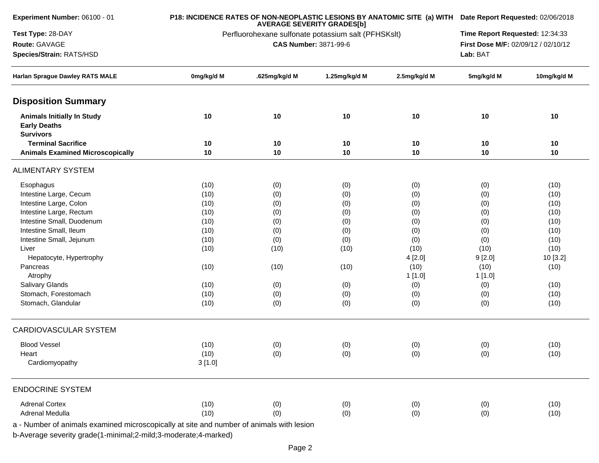| Experiment Number: 06100 - 01                                                            |                                                     | P18: INCIDENCE RATES OF NON-NEOPLASTIC LESIONS BY ANATOMIC SITE (a) WITH Date Report Requested: 02/06/2018<br>Time Report Requested: 12:34:33 |               |              |            |             |
|------------------------------------------------------------------------------------------|-----------------------------------------------------|-----------------------------------------------------------------------------------------------------------------------------------------------|---------------|--------------|------------|-------------|
| Test Type: 28-DAY                                                                        | Perfluorohexane sulfonate potassium salt (PFHSKslt) |                                                                                                                                               |               |              |            |             |
| Route: GAVAGE                                                                            |                                                     | CAS Number: 3871-99-6                                                                                                                         |               |              |            |             |
| Species/Strain: RATS/HSD                                                                 |                                                     | Lab: BAT                                                                                                                                      |               |              |            |             |
| Harlan Sprague Dawley RATS MALE                                                          | 0mg/kg/d M                                          | .625mg/kg/d M                                                                                                                                 | 1.25mg/kg/d M | 2.5mg/kg/d M | 5mg/kg/d M | 10mg/kg/d M |
| <b>Disposition Summary</b>                                                               |                                                     |                                                                                                                                               |               |              |            |             |
| <b>Animals Initially In Study</b><br><b>Early Deaths</b><br><b>Survivors</b>             | 10                                                  | 10                                                                                                                                            | 10            | 10           | 10         | 10          |
| <b>Terminal Sacrifice</b>                                                                | 10                                                  | 10                                                                                                                                            | 10            | 10           | 10         | 10          |
| <b>Animals Examined Microscopically</b>                                                  | 10                                                  | 10                                                                                                                                            | 10            | 10           | 10         | 10          |
| <b>ALIMENTARY SYSTEM</b>                                                                 |                                                     |                                                                                                                                               |               |              |            |             |
| Esophagus                                                                                | (10)                                                | (0)                                                                                                                                           | (0)           | (0)          | (0)        | (10)        |
| Intestine Large, Cecum                                                                   | (10)                                                | (0)                                                                                                                                           | (0)           | (0)          | (0)        | (10)        |
| Intestine Large, Colon                                                                   | (10)                                                | (0)                                                                                                                                           | (0)           | (0)          | (0)        | (10)        |
| Intestine Large, Rectum                                                                  | (10)                                                | (0)                                                                                                                                           | (0)           | (0)          | (0)        | (10)        |
| Intestine Small, Duodenum                                                                | (10)                                                | (0)                                                                                                                                           | (0)           | (0)          | (0)        | (10)        |
| Intestine Small, Ileum                                                                   | (10)                                                | (0)                                                                                                                                           | (0)           | (0)          | (0)        | (10)        |
| Intestine Small, Jejunum                                                                 | (10)                                                | (0)                                                                                                                                           | (0)           | (0)          | (0)        | (10)        |
| Liver                                                                                    | (10)                                                | (10)                                                                                                                                          | (10)          | (10)         | (10)       | (10)        |
| Hepatocyte, Hypertrophy                                                                  |                                                     |                                                                                                                                               |               | 4[2.0]       | 9[2.0]     | 10 [3.2]    |
| Pancreas                                                                                 | (10)                                                | (10)                                                                                                                                          | (10)          | (10)         | (10)       | (10)        |
| Atrophy                                                                                  |                                                     |                                                                                                                                               |               | 1 [1.0]      | 1[1.0]     |             |
| Salivary Glands                                                                          | (10)                                                | (0)                                                                                                                                           | (0)           | (0)          | (0)        | (10)        |
| Stomach, Forestomach                                                                     | (10)                                                | (0)                                                                                                                                           | (0)           | (0)          | (0)        | (10)        |
| Stomach, Glandular                                                                       | (10)                                                | (0)                                                                                                                                           | (0)           | (0)          | (0)        | (10)        |
| <b>CARDIOVASCULAR SYSTEM</b>                                                             |                                                     |                                                                                                                                               |               |              |            |             |
| <b>Blood Vessel</b>                                                                      | (10)                                                | (0)                                                                                                                                           | (0)           | (0)          | (0)        | (10)        |
| Heart                                                                                    | (10)                                                | (0)                                                                                                                                           | (0)           | (0)          | (0)        | (10)        |
| Cardiomyopathy                                                                           | 3[1.0]                                              |                                                                                                                                               |               |              |            |             |
| <b>ENDOCRINE SYSTEM</b>                                                                  |                                                     |                                                                                                                                               |               |              |            |             |
| <b>Adrenal Cortex</b>                                                                    | (10)                                                | (0)                                                                                                                                           | (0)           | (0)          | (0)        | (10)        |
| Adrenal Medulla                                                                          | (10)                                                | (0)                                                                                                                                           | (0)           | (0)          | (0)        | (10)        |
| a - Number of animals examined microscopically at site and number of animals with lesion |                                                     |                                                                                                                                               |               |              |            |             |
|                                                                                          |                                                     |                                                                                                                                               |               |              |            |             |
| b-Average severity grade(1-minimal;2-mild;3-moderate;4-marked)                           |                                                     |                                                                                                                                               |               |              |            |             |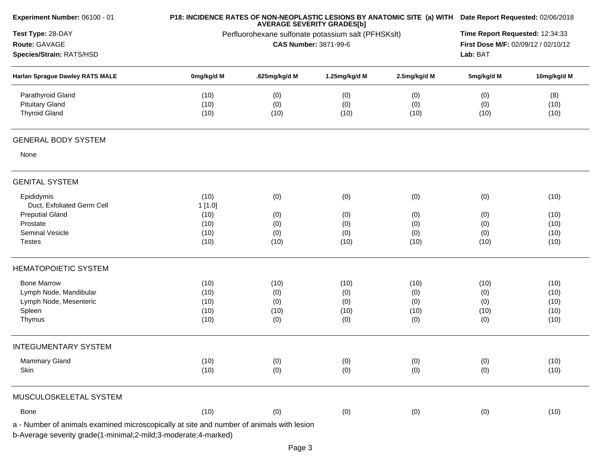| Experiment Number: 06100 - 01                                                            |                                                     | P18: INCIDENCE RATES OF NON-NEOPLASTIC LESIONS BY ANATOMIC SITE (a) WITH Date Report Requested: 02/06/2018<br>Time Report Requested: 12:34:33 |                              |              |                                     |              |
|------------------------------------------------------------------------------------------|-----------------------------------------------------|-----------------------------------------------------------------------------------------------------------------------------------------------|------------------------------|--------------|-------------------------------------|--------------|
| Test Type: 28-DAY                                                                        | Perfluorohexane sulfonate potassium salt (PFHSKslt) |                                                                                                                                               |                              |              |                                     |              |
| Route: GAVAGE                                                                            |                                                     |                                                                                                                                               | <b>CAS Number: 3871-99-6</b> |              | First Dose M/F: 02/09/12 / 02/10/12 |              |
| Species/Strain: RATS/HSD                                                                 |                                                     | Lab: BAT                                                                                                                                      |                              |              |                                     |              |
| Harlan Sprague Dawley RATS MALE                                                          | 0mg/kg/d M                                          | .625mg/kg/d M                                                                                                                                 | 1.25mg/kg/d M                | 2.5mg/kg/d M | 5mg/kg/d M                          | 10mg/kg/d M  |
| Parathyroid Gland                                                                        | (10)                                                | (0)                                                                                                                                           | (0)                          | (0)          | (0)                                 | (8)          |
| <b>Pituitary Gland</b><br><b>Thyroid Gland</b>                                           | (10)<br>(10)                                        | (0)<br>(10)                                                                                                                                   | (0)<br>(10)                  | (0)<br>(10)  | (0)<br>(10)                         | (10)<br>(10) |
|                                                                                          |                                                     |                                                                                                                                               |                              |              |                                     |              |
| <b>GENERAL BODY SYSTEM</b>                                                               |                                                     |                                                                                                                                               |                              |              |                                     |              |
| None                                                                                     |                                                     |                                                                                                                                               |                              |              |                                     |              |
| <b>GENITAL SYSTEM</b>                                                                    |                                                     |                                                                                                                                               |                              |              |                                     |              |
| Epididymis                                                                               | (10)                                                | (0)                                                                                                                                           | (0)                          | (0)          | (0)                                 | (10)         |
| Duct, Exfoliated Germ Cell                                                               | 1[1.0]                                              |                                                                                                                                               |                              |              |                                     |              |
| <b>Preputial Gland</b><br>Prostate                                                       | (10)                                                | (0)                                                                                                                                           | (0)                          | (0)          | (0)                                 | (10)         |
| Seminal Vesicle                                                                          | (10)<br>(10)                                        | (0)<br>(0)                                                                                                                                    | (0)<br>(0)                   | (0)<br>(0)   | (0)<br>(0)                          | (10)<br>(10) |
| <b>Testes</b>                                                                            | (10)                                                | (10)                                                                                                                                          | (10)                         | (10)         | (10)                                | (10)         |
|                                                                                          |                                                     |                                                                                                                                               |                              |              |                                     |              |
| <b>HEMATOPOIETIC SYSTEM</b>                                                              |                                                     |                                                                                                                                               |                              |              |                                     |              |
| <b>Bone Marrow</b>                                                                       | (10)                                                | (10)                                                                                                                                          | (10)                         | (10)         | (10)                                | (10)         |
| Lymph Node, Mandibular                                                                   | (10)                                                | (0)                                                                                                                                           | (0)                          | (0)          | (0)                                 | (10)         |
| Lymph Node, Mesenteric                                                                   | (10)                                                | (0)                                                                                                                                           | (0)                          | (0)          | (0)                                 | (10)         |
| Spleen                                                                                   | (10)                                                | (10)                                                                                                                                          | (10)                         | (10)         | (10)                                | (10)         |
| Thymus                                                                                   | (10)                                                | (0)                                                                                                                                           | (0)                          | (0)          | (0)                                 | (10)         |
| <b>INTEGUMENTARY SYSTEM</b>                                                              |                                                     |                                                                                                                                               |                              |              |                                     |              |
| <b>Mammary Gland</b>                                                                     | (10)                                                | (0)                                                                                                                                           | (0)                          | (0)          | (0)                                 | (10)         |
| Skin                                                                                     | (10)                                                | (0)                                                                                                                                           | (0)                          | (0)          | (0)                                 | (10)         |
| MUSCULOSKELETAL SYSTEM                                                                   |                                                     |                                                                                                                                               |                              |              |                                     |              |
| Bone                                                                                     | (10)                                                | (0)                                                                                                                                           | (0)                          | (0)          | (0)                                 | (10)         |
| a - Number of animals examined microscopically at site and number of animals with lesion |                                                     |                                                                                                                                               |                              |              |                                     |              |
| b-Average severity grade(1-minimal;2-mild;3-moderate;4-marked)                           |                                                     |                                                                                                                                               |                              |              |                                     |              |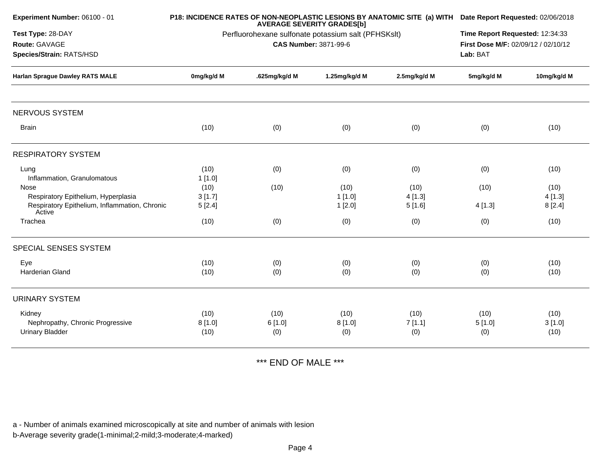|                                                         | Time Report Requested: 12:34:33<br>First Dose M/F: 02/09/12 / 02/10/12<br>Lab: BAT |               |                                                                                 |                                                                   |                                                                                                                          |
|---------------------------------------------------------|------------------------------------------------------------------------------------|---------------|---------------------------------------------------------------------------------|-------------------------------------------------------------------|--------------------------------------------------------------------------------------------------------------------------|
|                                                         |                                                                                    |               |                                                                                 |                                                                   |                                                                                                                          |
| 0mg/kg/d M                                              | .625mg/kg/d M                                                                      | 1.25mg/kg/d M | 2.5mg/kg/d M                                                                    | 5mg/kg/d M                                                        | 10mg/kg/d M                                                                                                              |
|                                                         |                                                                                    |               |                                                                                 |                                                                   |                                                                                                                          |
| (10)                                                    | (0)                                                                                | (0)           | (0)                                                                             | (0)                                                               | (10)                                                                                                                     |
|                                                         |                                                                                    |               |                                                                                 |                                                                   |                                                                                                                          |
|                                                         |                                                                                    |               |                                                                                 |                                                                   | (10)                                                                                                                     |
|                                                         |                                                                                    |               |                                                                                 |                                                                   |                                                                                                                          |
| (10)                                                    | (10)                                                                               | (10)          | (10)                                                                            | (10)                                                              | (10)                                                                                                                     |
| 3[1.7]                                                  |                                                                                    | 1[1.0]        | 4[1.3]                                                                          |                                                                   | 4[1.3]                                                                                                                   |
| Respiratory Epithelium, Inflammation, Chronic<br>5[2.4] |                                                                                    | 1[2.0]        | 5[1.6]                                                                          | 4[1.3]                                                            | 8[2.4]                                                                                                                   |
| (10)                                                    | (0)                                                                                | (0)           | (0)                                                                             | (0)                                                               | (10)                                                                                                                     |
|                                                         |                                                                                    |               |                                                                                 |                                                                   |                                                                                                                          |
|                                                         |                                                                                    |               |                                                                                 |                                                                   | (10)                                                                                                                     |
| (10)                                                    | (0)                                                                                | (0)           | (0)                                                                             | (0)                                                               | (10)                                                                                                                     |
|                                                         |                                                                                    |               |                                                                                 |                                                                   |                                                                                                                          |
| (10)                                                    | (10)                                                                               | (10)          | (10)                                                                            | (10)                                                              | (10)                                                                                                                     |
| 8[1.0]                                                  | 6[1.0]                                                                             | 8[1.0]        | 7[1.1]                                                                          | 5[1.0]                                                            | 3[1.0]                                                                                                                   |
| (10)                                                    | (0)                                                                                | (0)           | (0)                                                                             | (0)                                                               | (10)                                                                                                                     |
|                                                         | (10)<br>1[1.0]<br>(10)                                                             | (0)<br>(0)    | <b>AVERAGE SEVERITY GRADES[b]</b><br><b>CAS Number: 3871-99-6</b><br>(0)<br>(0) | Perfluorohexane sulfonate potassium salt (PFHSKslt)<br>(0)<br>(0) | P18: INCIDENCE RATES OF NON-NEOPLASTIC LESIONS BY ANATOMIC SITE (a) WITH Date Report Requested: 02/06/2018<br>(0)<br>(0) |

\*\*\* END OF MALE \*\*\*

a - Number of animals examined microscopically at site and number of animals with lesion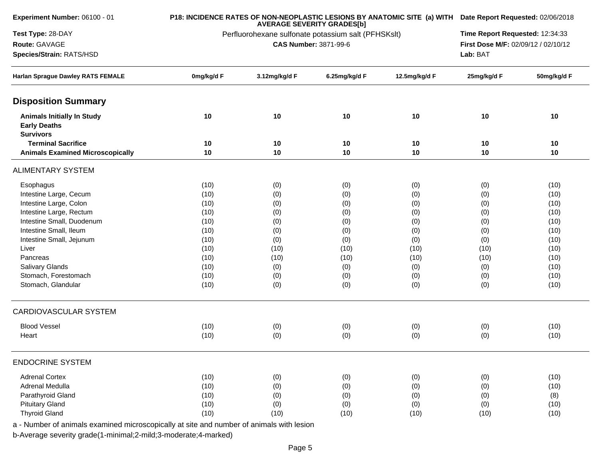| <b>Experiment Number: 06100 - 01</b>                                                 |                                                     |                              | P18: INCIDENCE RATES OF NON-NEOPLASTIC LESIONS BY ANATOMIC SITE (a) WITH Date Report Requested: 02/06/2018<br>Time Report Requested: 12:34:33 |               |             |             |
|--------------------------------------------------------------------------------------|-----------------------------------------------------|------------------------------|-----------------------------------------------------------------------------------------------------------------------------------------------|---------------|-------------|-------------|
| Test Type: 28-DAY                                                                    | Perfluorohexane sulfonate potassium salt (PFHSKslt) |                              |                                                                                                                                               |               |             |             |
| Route: GAVAGE                                                                        |                                                     | <b>CAS Number: 3871-99-6</b> |                                                                                                                                               |               |             |             |
| Species/Strain: RATS/HSD<br><b>Harlan Sprague Dawley RATS FEMALE</b>                 |                                                     | Lab: BAT                     |                                                                                                                                               |               |             |             |
|                                                                                      | 0mg/kg/d F                                          | 3.12mg/kg/d F                | 6.25mg/kg/d F                                                                                                                                 | 12.5mg/kg/d F | 25mg/kg/d F | 50mg/kg/d F |
| <b>Disposition Summary</b>                                                           |                                                     |                              |                                                                                                                                               |               |             |             |
| <b>Animals Initially In Study</b><br><b>Early Deaths</b><br><b>Survivors</b>         | 10                                                  | 10                           | 10                                                                                                                                            | 10            | 10          | 10          |
| <b>Terminal Sacrifice</b>                                                            | 10                                                  | 10                           | 10                                                                                                                                            | 10            | 10          | 10          |
| <b>Animals Examined Microscopically</b>                                              | 10                                                  | 10                           | 10                                                                                                                                            | 10            | 10          | 10          |
| <b>ALIMENTARY SYSTEM</b>                                                             |                                                     |                              |                                                                                                                                               |               |             |             |
| Esophagus                                                                            | (10)                                                | (0)                          | (0)                                                                                                                                           | (0)           | (0)         | (10)        |
| Intestine Large, Cecum                                                               | (10)                                                | (0)                          | (0)                                                                                                                                           | (0)           | (0)         | (10)        |
| Intestine Large, Colon                                                               | (10)                                                | (0)                          | (0)                                                                                                                                           | (0)           | (0)         | (10)        |
| Intestine Large, Rectum                                                              | (10)                                                | (0)                          | (0)                                                                                                                                           | (0)           | (0)         | (10)        |
| Intestine Small, Duodenum                                                            | (10)                                                | (0)                          | (0)                                                                                                                                           | (0)           | (0)         | (10)        |
| Intestine Small, Ileum                                                               | (10)                                                | (0)                          | (0)                                                                                                                                           | (0)           | (0)         | (10)        |
| Intestine Small, Jejunum                                                             | (10)                                                | (0)                          | (0)                                                                                                                                           | (0)           | (0)         | (10)        |
| Liver                                                                                | (10)                                                | (10)                         | (10)                                                                                                                                          | (10)          | (10)        | (10)        |
| Pancreas                                                                             | (10)                                                | (10)                         | (10)                                                                                                                                          | (10)          | (10)        | (10)        |
| Salivary Glands                                                                      | (10)                                                | (0)                          | (0)                                                                                                                                           | (0)           | (0)         | (10)        |
| Stomach, Forestomach                                                                 | (10)                                                | (0)                          | (0)                                                                                                                                           | (0)           | (0)         | (10)        |
| Stomach, Glandular                                                                   | (10)                                                | (0)                          | (0)                                                                                                                                           | (0)           | (0)         | (10)        |
| <b>CARDIOVASCULAR SYSTEM</b>                                                         |                                                     |                              |                                                                                                                                               |               |             |             |
| <b>Blood Vessel</b>                                                                  | (10)                                                | (0)                          | (0)                                                                                                                                           | (0)           | (0)         | (10)        |
| Heart                                                                                | (10)                                                | (0)                          | (0)                                                                                                                                           | (0)           | (0)         | (10)        |
| <b>ENDOCRINE SYSTEM</b>                                                              |                                                     |                              |                                                                                                                                               |               |             |             |
| <b>Adrenal Cortex</b>                                                                | (10)                                                | (0)                          | (0)                                                                                                                                           | (0)           | (0)         | (10)        |
| Adrenal Medulla                                                                      | (10)                                                | (0)                          | (0)                                                                                                                                           | (0)           | (0)         | (10)        |
| Parathyroid Gland                                                                    | (10)                                                | (0)                          | (0)                                                                                                                                           | (0)           | (0)         | (8)         |
| <b>Pituitary Gland</b>                                                               | (10)                                                | (0)                          | (0)                                                                                                                                           | (0)           | (0)         | (10)        |
| <b>Thyroid Gland</b>                                                                 | (10)                                                | (10)                         | (10)                                                                                                                                          | (10)          | (10)        | (10)        |
| Number of opimals examined microscopically at eite and number of opimals with logion |                                                     |                              |                                                                                                                                               |               |             |             |

a - Number of animals examined microscopically at site and number of animals with lesion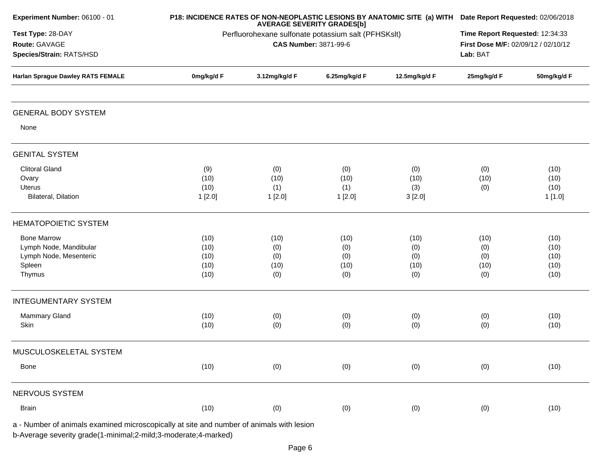| Experiment Number: 06100 - 01                                                            |                                                     | P18: INCIDENCE RATES OF NON-NEOPLASTIC LESIONS BY ANATOMIC SITE (a) WITH Date Report Requested: 02/06/2018<br>Time Report Requested: 12:34:33 |               |               |             |             |  |
|------------------------------------------------------------------------------------------|-----------------------------------------------------|-----------------------------------------------------------------------------------------------------------------------------------------------|---------------|---------------|-------------|-------------|--|
| Test Type: 28-DAY                                                                        | Perfluorohexane sulfonate potassium salt (PFHSKslt) |                                                                                                                                               |               |               |             |             |  |
| Route: GAVAGE                                                                            |                                                     | <b>CAS Number: 3871-99-6</b>                                                                                                                  |               |               |             |             |  |
| Species/Strain: RATS/HSD                                                                 |                                                     | Lab: BAT                                                                                                                                      |               |               |             |             |  |
| <b>Harlan Sprague Dawley RATS FEMALE</b>                                                 | 0mg/kg/d F                                          | 3.12mg/kg/d F                                                                                                                                 | 6.25mg/kg/d F | 12.5mg/kg/d F | 25mg/kg/d F | 50mg/kg/d F |  |
| <b>GENERAL BODY SYSTEM</b>                                                               |                                                     |                                                                                                                                               |               |               |             |             |  |
| None                                                                                     |                                                     |                                                                                                                                               |               |               |             |             |  |
| <b>GENITAL SYSTEM</b>                                                                    |                                                     |                                                                                                                                               |               |               |             |             |  |
| <b>Clitoral Gland</b>                                                                    | (9)                                                 | (0)                                                                                                                                           | (0)           | (0)           | (0)         | (10)        |  |
| Ovary                                                                                    | (10)                                                | (10)                                                                                                                                          | (10)          | (10)          | (10)        | (10)        |  |
| Uterus                                                                                   | (10)                                                | (1)                                                                                                                                           | (1)           | (3)           | (0)         | (10)        |  |
| Bilateral, Dilation                                                                      | 1[2.0]                                              | 1[2.0]                                                                                                                                        | 1[2.0]        | 3[2.0]        |             | 1[1.0]      |  |
| <b>HEMATOPOIETIC SYSTEM</b>                                                              |                                                     |                                                                                                                                               |               |               |             |             |  |
| <b>Bone Marrow</b>                                                                       | (10)                                                | (10)                                                                                                                                          | (10)          | (10)          | (10)        | (10)        |  |
| Lymph Node, Mandibular                                                                   | (10)                                                | (0)                                                                                                                                           | (0)           | (0)           | (0)         | (10)        |  |
| Lymph Node, Mesenteric                                                                   | (10)                                                | (0)                                                                                                                                           | (0)           | (0)           | (0)         | (10)        |  |
| Spleen                                                                                   | (10)                                                | (10)                                                                                                                                          | (10)          | (10)          | (10)        | (10)        |  |
| Thymus                                                                                   | (10)                                                | (0)                                                                                                                                           | (0)           | (0)           | (0)         | (10)        |  |
| <b>INTEGUMENTARY SYSTEM</b>                                                              |                                                     |                                                                                                                                               |               |               |             |             |  |
| Mammary Gland                                                                            | (10)                                                | (0)                                                                                                                                           | (0)           | (0)           | (0)         | (10)        |  |
| Skin                                                                                     | (10)                                                | (0)                                                                                                                                           | (0)           | (0)           | (0)         | (10)        |  |
| MUSCULOSKELETAL SYSTEM                                                                   |                                                     |                                                                                                                                               |               |               |             |             |  |
| Bone                                                                                     | (10)                                                | (0)                                                                                                                                           | (0)           | (0)           | (0)         | (10)        |  |
| NERVOUS SYSTEM                                                                           |                                                     |                                                                                                                                               |               |               |             |             |  |
| <b>Brain</b>                                                                             | (10)                                                | (0)                                                                                                                                           | (0)           | (0)           | (0)         | (10)        |  |
| a - Number of animals examined microscopically at site and number of animals with lesion |                                                     |                                                                                                                                               |               |               |             |             |  |